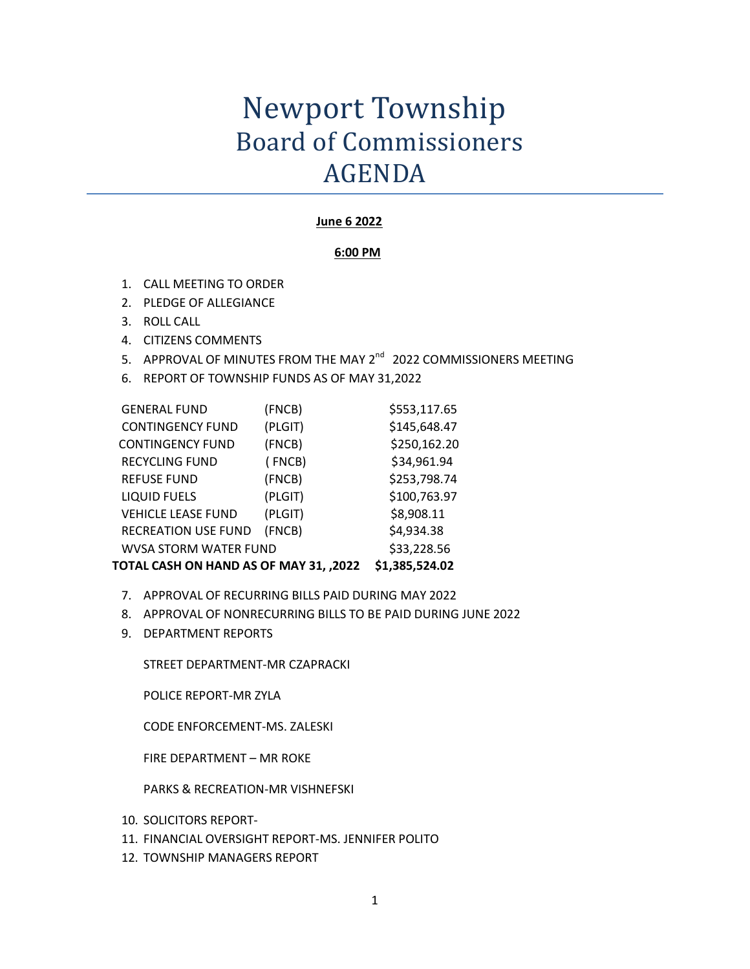## Newport Township Board of Commissioners AGENDA

## **June 6 2022**

## **6:00 PM**

- 1. CALL MEETING TO ORDER
- 2. PLEDGE OF ALLEGIANCE
- 3. ROLL CALL
- 4. CITIZENS COMMENTS
- 5. APPROVAL OF MINUTES FROM THE MAY 2<sup>nd</sup> 2022 COMMISSIONERS MEETING
- 6. REPORT OF TOWNSHIP FUNDS AS OF MAY 31,2022

| <b>GENERAL FUND</b>                    | (FNCB)  | \$553,117.65   |
|----------------------------------------|---------|----------------|
| <b>CONTINGENCY FUND</b>                | (PLGIT) | \$145,648.47   |
| <b>CONTINGENCY FUND</b>                | (FNCB)  | \$250,162.20   |
| <b>RECYCLING FUND</b>                  | (FNCB)  | \$34,961.94    |
| <b>REFUSE FUND</b>                     | (FNCB)  | \$253,798.74   |
| <b>LIQUID FUELS</b>                    | (PLGIT) | \$100,763.97   |
| <b>VEHICLE LEASE FUND</b>              | (PLGIT) | \$8,908.11     |
| <b>RECREATION USE FUND</b>             | (FNCB)  | \$4,934.38     |
| <b>WVSA STORM WATER FUND</b>           |         | \$33,228.56    |
| TOTAL CASH ON HAND AS OF MAY 31, ,2022 |         | \$1,385,524.02 |

- 7. APPROVAL OF RECURRING BILLS PAID DURING MAY 2022
- 8. APPROVAL OF NONRECURRING BILLS TO BE PAID DURING JUNE 2022
- 9. DEPARTMENT REPORTS

STREET DEPARTMENT-MR CZAPRACKI

POLICE REPORT-MR ZYLA

CODE ENFORCEMENT-MS. ZALESKI

FIRE DEPARTMENT – MR ROKE

PARKS & RECREATION-MR VISHNEFSKI

- 10. SOLICITORS REPORT-
- 11. FINANCIAL OVERSIGHT REPORT-MS. JENNIFER POLITO
- 12. TOWNSHIP MANAGERS REPORT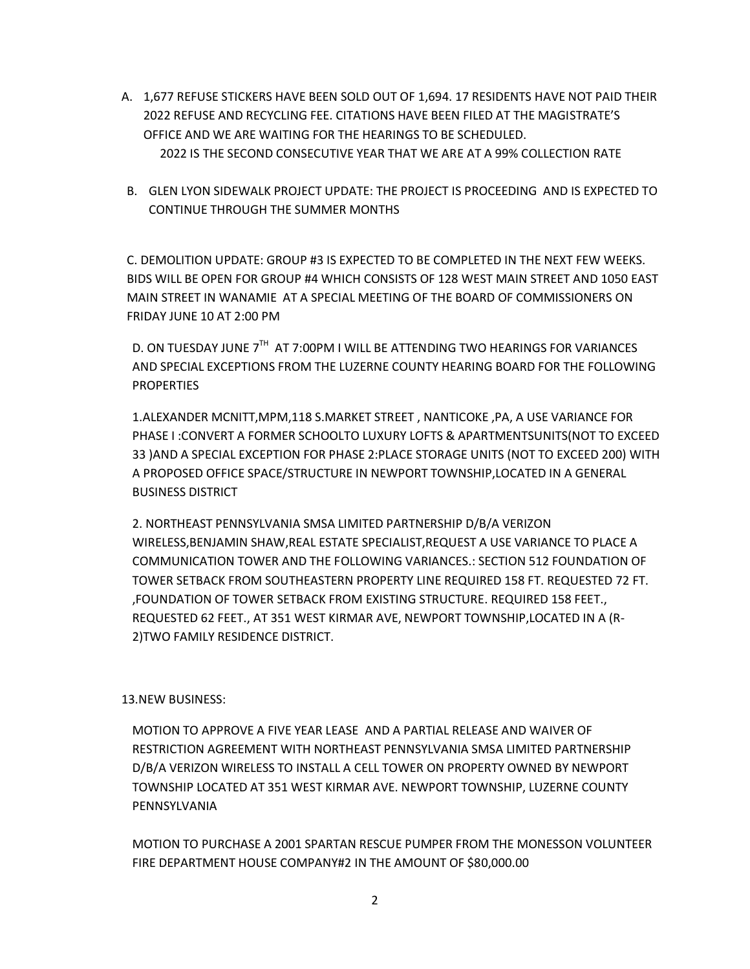- A. 1,677 REFUSE STICKERS HAVE BEEN SOLD OUT OF 1,694. 17 RESIDENTS HAVE NOT PAID THEIR 2022 REFUSE AND RECYCLING FEE. CITATIONS HAVE BEEN FILED AT THE MAGISTRATE'S OFFICE AND WE ARE WAITING FOR THE HEARINGS TO BE SCHEDULED. 2022 IS THE SECOND CONSECUTIVE YEAR THAT WE ARE AT A 99% COLLECTION RATE
- B. GLEN LYON SIDEWALK PROJECT UPDATE: THE PROJECT IS PROCEEDING AND IS EXPECTED TO CONTINUE THROUGH THE SUMMER MONTHS

C. DEMOLITION UPDATE: GROUP #3 IS EXPECTED TO BE COMPLETED IN THE NEXT FEW WEEKS. BIDS WILL BE OPEN FOR GROUP #4 WHICH CONSISTS OF 128 WEST MAIN STREET AND 1050 EAST MAIN STREET IN WANAMIE AT A SPECIAL MEETING OF THE BOARD OF COMMISSIONERS ON FRIDAY JUNE 10 AT 2:00 PM

D. ON TUESDAY JUNE  $7^{\text{TH}}$  AT 7:00PM I WILL BE ATTENDING TWO HEARINGS FOR VARIANCES AND SPECIAL EXCEPTIONS FROM THE LUZERNE COUNTY HEARING BOARD FOR THE FOLLOWING **PROPERTIES** 

1.ALEXANDER MCNITT,MPM,118 S.MARKET STREET , NANTICOKE ,PA, A USE VARIANCE FOR PHASE I :CONVERT A FORMER SCHOOLTO LUXURY LOFTS & APARTMENTSUNITS(NOT TO EXCEED 33 )AND A SPECIAL EXCEPTION FOR PHASE 2:PLACE STORAGE UNITS (NOT TO EXCEED 200) WITH A PROPOSED OFFICE SPACE/STRUCTURE IN NEWPORT TOWNSHIP,LOCATED IN A GENERAL BUSINESS DISTRICT

2. NORTHEAST PENNSYLVANIA SMSA LIMITED PARTNERSHIP D/B/A VERIZON WIRELESS,BENJAMIN SHAW,REAL ESTATE SPECIALIST,REQUEST A USE VARIANCE TO PLACE A COMMUNICATION TOWER AND THE FOLLOWING VARIANCES.: SECTION 512 FOUNDATION OF TOWER SETBACK FROM SOUTHEASTERN PROPERTY LINE REQUIRED 158 FT. REQUESTED 72 FT. ,FOUNDATION OF TOWER SETBACK FROM EXISTING STRUCTURE. REQUIRED 158 FEET., REQUESTED 62 FEET., AT 351 WEST KIRMAR AVE, NEWPORT TOWNSHIP,LOCATED IN A (R-2)TWO FAMILY RESIDENCE DISTRICT.

## 13.NEW BUSINESS:

MOTION TO APPROVE A FIVE YEAR LEASE AND A PARTIAL RELEASE AND WAIVER OF RESTRICTION AGREEMENT WITH NORTHEAST PENNSYLVANIA SMSA LIMITED PARTNERSHIP D/B/A VERIZON WIRELESS TO INSTALL A CELL TOWER ON PROPERTY OWNED BY NEWPORT TOWNSHIP LOCATED AT 351 WEST KIRMAR AVE. NEWPORT TOWNSHIP, LUZERNE COUNTY PENNSYLVANIA

MOTION TO PURCHASE A 2001 SPARTAN RESCUE PUMPER FROM THE MONESSON VOLUNTEER FIRE DEPARTMENT HOUSE COMPANY#2 IN THE AMOUNT OF \$80,000.00